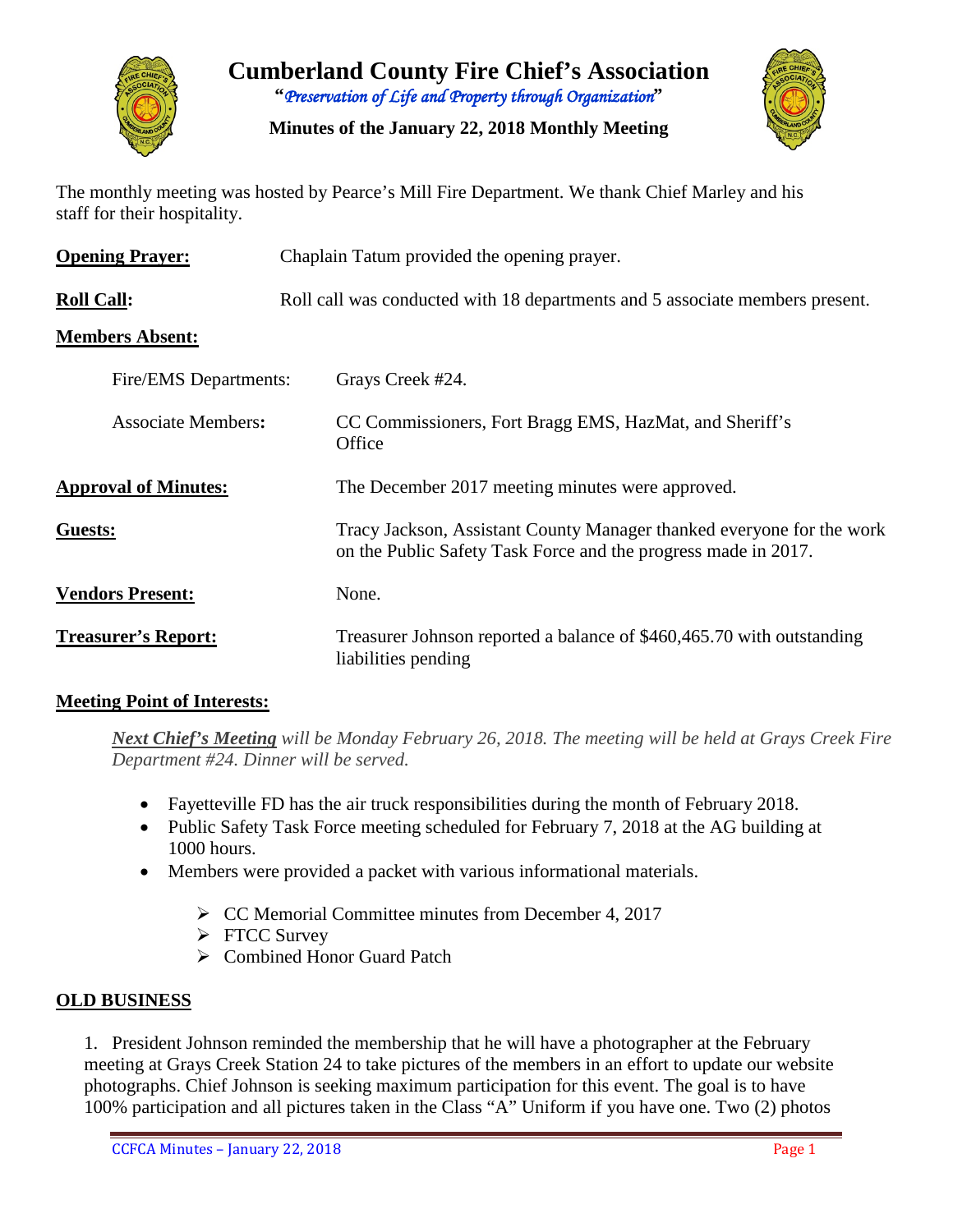

**Cumberland County Fire Chief's Association "***Preservation of Life and Property through Organization***"**

**Minutes of the January 22, 2018 Monthly Meeting**



The monthly meeting was hosted by Pearce's Mill Fire Department. We thank Chief Marley and his staff for their hospitality.

| <b>Opening Prayer:</b>      | Chaplain Tatum provided the opening prayer.                                                                                             |  |  |  |  |  |
|-----------------------------|-----------------------------------------------------------------------------------------------------------------------------------------|--|--|--|--|--|
| <b>Roll Call:</b>           | Roll call was conducted with 18 departments and 5 associate members present.                                                            |  |  |  |  |  |
| <b>Members Absent:</b>      |                                                                                                                                         |  |  |  |  |  |
| Fire/EMS Departments:       | Grays Creek #24.                                                                                                                        |  |  |  |  |  |
| <b>Associate Members:</b>   | CC Commissioners, Fort Bragg EMS, HazMat, and Sheriff's<br>Office                                                                       |  |  |  |  |  |
| <b>Approval of Minutes:</b> | The December 2017 meeting minutes were approved.                                                                                        |  |  |  |  |  |
| Guests:                     | Tracy Jackson, Assistant County Manager thanked everyone for the work<br>on the Public Safety Task Force and the progress made in 2017. |  |  |  |  |  |
| <b>Vendors Present:</b>     | None.                                                                                                                                   |  |  |  |  |  |
| <b>Treasurer's Report:</b>  | Treasurer Johnson reported a balance of \$460,465.70 with outstanding<br>liabilities pending                                            |  |  |  |  |  |

## **Meeting Point of Interests:**

*Next Chief's Meeting will be Monday February 26, 2018. The meeting will be held at Grays Creek Fire Department #24. Dinner will be served.*

- Fayetteville FD has the air truck responsibilities during the month of February 2018.
- Public Safety Task Force meeting scheduled for February 7, 2018 at the AG building at 1000 hours.
- Members were provided a packet with various informational materials.
	- $\triangleright$  CC Memorial Committee minutes from December 4, 2017
	- FTCC Survey
	- Combined Honor Guard Patch

## **OLD BUSINESS**

1. President Johnson reminded the membership that he will have a photographer at the February meeting at Grays Creek Station 24 to take pictures of the members in an effort to update our website photographs. Chief Johnson is seeking maximum participation for this event. The goal is to have 100% participation and all pictures taken in the Class "A" Uniform if you have one. Two (2) photos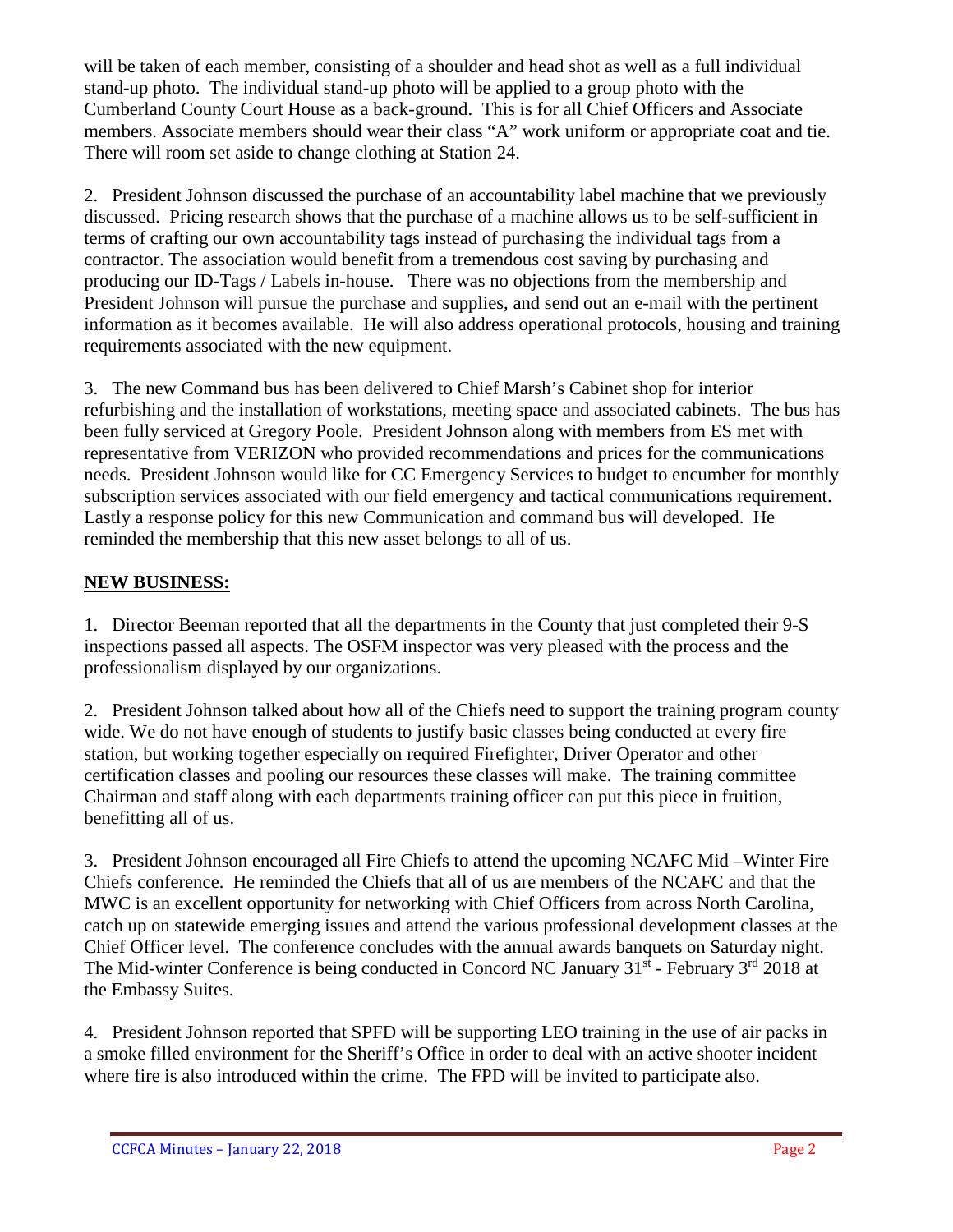will be taken of each member, consisting of a shoulder and head shot as well as a full individual stand-up photo. The individual stand-up photo will be applied to a group photo with the Cumberland County Court House as a back-ground. This is for all Chief Officers and Associate members. Associate members should wear their class "A" work uniform or appropriate coat and tie. There will room set aside to change clothing at Station 24.

2. President Johnson discussed the purchase of an accountability label machine that we previously discussed. Pricing research shows that the purchase of a machine allows us to be self-sufficient in terms of crafting our own accountability tags instead of purchasing the individual tags from a contractor. The association would benefit from a tremendous cost saving by purchasing and producing our ID-Tags / Labels in-house. There was no objections from the membership and President Johnson will pursue the purchase and supplies, and send out an e-mail with the pertinent information as it becomes available. He will also address operational protocols, housing and training requirements associated with the new equipment.

3. The new Command bus has been delivered to Chief Marsh's Cabinet shop for interior refurbishing and the installation of workstations, meeting space and associated cabinets. The bus has been fully serviced at Gregory Poole. President Johnson along with members from ES met with representative from VERIZON who provided recommendations and prices for the communications needs. President Johnson would like for CC Emergency Services to budget to encumber for monthly subscription services associated with our field emergency and tactical communications requirement. Lastly a response policy for this new Communication and command bus will developed. He reminded the membership that this new asset belongs to all of us.

# **NEW BUSINESS:**

1. Director Beeman reported that all the departments in the County that just completed their 9-S inspections passed all aspects. The OSFM inspector was very pleased with the process and the professionalism displayed by our organizations.

2. President Johnson talked about how all of the Chiefs need to support the training program county wide. We do not have enough of students to justify basic classes being conducted at every fire station, but working together especially on required Firefighter, Driver Operator and other certification classes and pooling our resources these classes will make. The training committee Chairman and staff along with each departments training officer can put this piece in fruition, benefitting all of us.

3. President Johnson encouraged all Fire Chiefs to attend the upcoming NCAFC Mid –Winter Fire Chiefs conference. He reminded the Chiefs that all of us are members of the NCAFC and that the MWC is an excellent opportunity for networking with Chief Officers from across North Carolina, catch up on statewide emerging issues and attend the various professional development classes at the Chief Officer level. The conference concludes with the annual awards banquets on Saturday night. The Mid-winter Conference is being conducted in Concord NC January  $31<sup>st</sup>$  - February  $3<sup>rd</sup>$  2018 at the Embassy Suites.

4. President Johnson reported that SPFD will be supporting LEO training in the use of air packs in a smoke filled environment for the Sheriff's Office in order to deal with an active shooter incident where fire is also introduced within the crime. The FPD will be invited to participate also.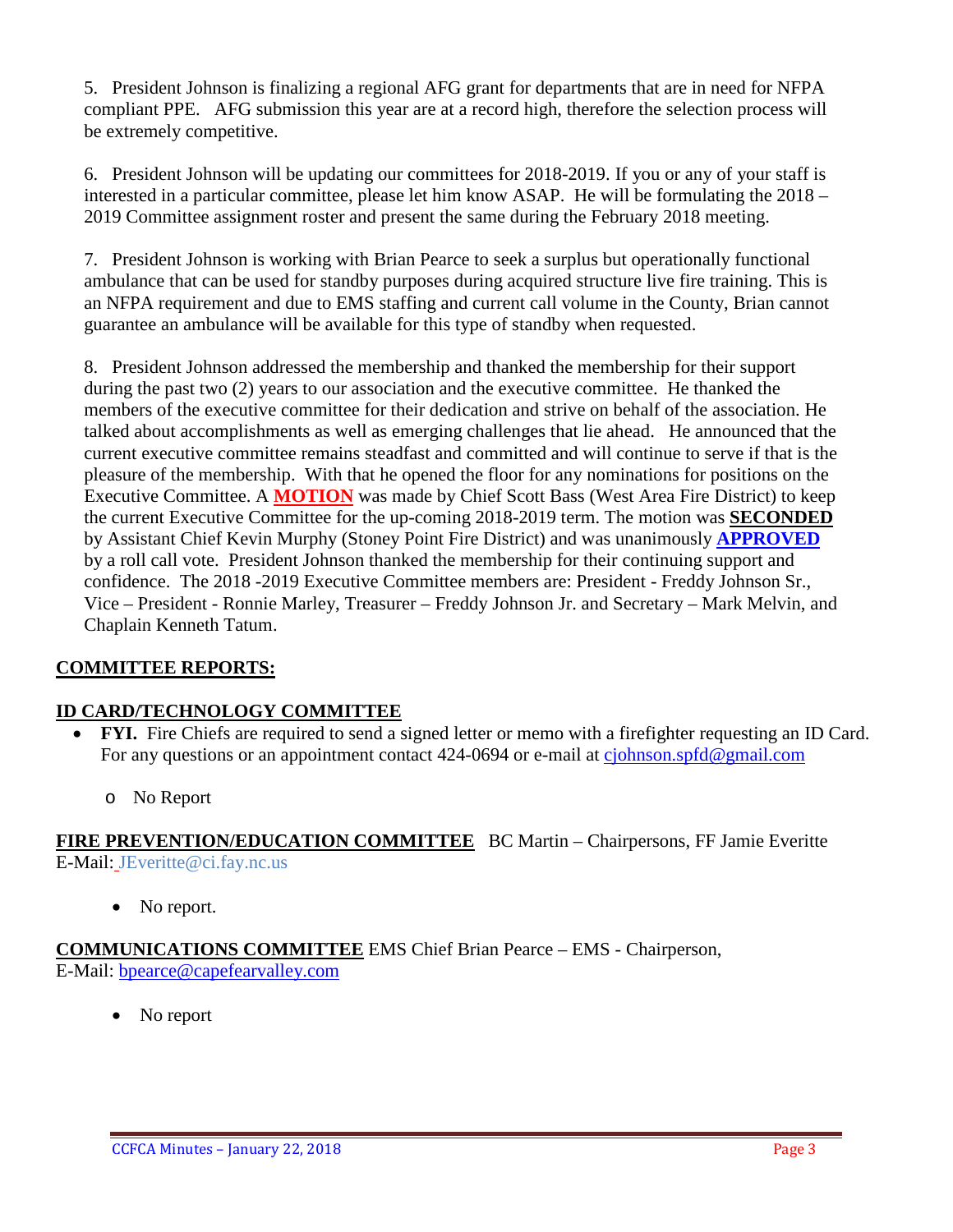5. President Johnson is finalizing a regional AFG grant for departments that are in need for NFPA compliant PPE. AFG submission this year are at a record high, therefore the selection process will be extremely competitive.

6. President Johnson will be updating our committees for 2018-2019. If you or any of your staff is interested in a particular committee, please let him know ASAP. He will be formulating the 2018 – 2019 Committee assignment roster and present the same during the February 2018 meeting.

7. President Johnson is working with Brian Pearce to seek a surplus but operationally functional ambulance that can be used for standby purposes during acquired structure live fire training. This is an NFPA requirement and due to EMS staffing and current call volume in the County, Brian cannot guarantee an ambulance will be available for this type of standby when requested.

8. President Johnson addressed the membership and thanked the membership for their support during the past two (2) years to our association and the executive committee. He thanked the members of the executive committee for their dedication and strive on behalf of the association. He talked about accomplishments as well as emerging challenges that lie ahead. He announced that the current executive committee remains steadfast and committed and will continue to serve if that is the pleasure of the membership. With that he opened the floor for any nominations for positions on the Executive Committee. A **MOTION** was made by Chief Scott Bass (West Area Fire District) to keep the current Executive Committee for the up-coming 2018-2019 term. The motion was **SECONDED** by Assistant Chief Kevin Murphy (Stoney Point Fire District) and was unanimously **APPROVED** by a roll call vote. President Johnson thanked the membership for their continuing support and confidence. The 2018 -2019 Executive Committee members are: President - Freddy Johnson Sr., Vice – President - Ronnie Marley, Treasurer – Freddy Johnson Jr. and Secretary – Mark Melvin, and Chaplain Kenneth Tatum.

## **COMMITTEE REPORTS:**

#### **ID CARD/TECHNOLOGY COMMITTEE**

- **FYI.** Fire Chiefs are required to send a signed letter or memo with a firefighter requesting an ID Card. For any questions or an appointment contact 424-0694 or e-mail at [cjohnson.spfd@gmail.com](mailto:cjohnson.spfd@gmail.com)
	- o No Report

**FIRE PREVENTION/EDUCATION COMMITTEE** BC Martin – Chairpersons, FF Jamie Everitte E-Mail: JEveritte@ci.fay.nc.us

• No report.

**COMMUNICATIONS COMMITTEE** EMS Chief Brian Pearce – EMS - Chairperson, E-Mail: [bpearce@capefearvalley.com](mailto:bpearce@capefearvalley.com)

• No report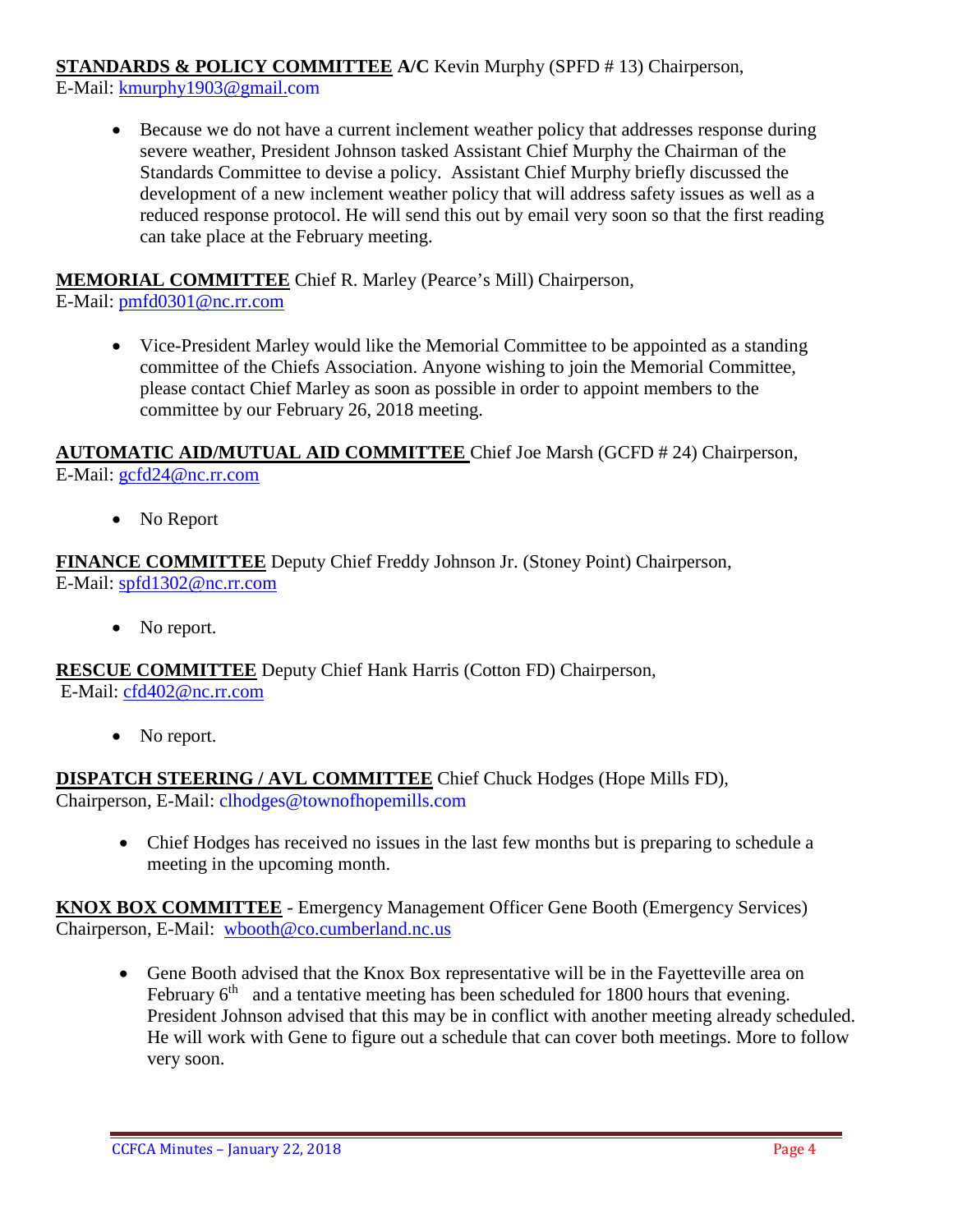**STANDARDS & POLICY COMMITTEE A/C** Kevin Murphy (SPFD # 13) Chairperson,

E-Mail: [kmurphy1903@gmail.com](mailto:kmurphy1903@gmail.com)

• Because we do not have a current inclement weather policy that addresses response during severe weather, President Johnson tasked Assistant Chief Murphy the Chairman of the Standards Committee to devise a policy. Assistant Chief Murphy briefly discussed the development of a new inclement weather policy that will address safety issues as well as a reduced response protocol. He will send this out by email very soon so that the first reading can take place at the February meeting.

**MEMORIAL COMMITTEE** Chief R. Marley (Pearce's Mill) Chairperson,

E-Mail: [pmfd0301@nc.rr.com](mailto:pmfd0301@nc.rr.com)

• Vice-President Marley would like the Memorial Committee to be appointed as a standing committee of the Chiefs Association. Anyone wishing to join the Memorial Committee, please contact Chief Marley as soon as possible in order to appoint members to the committee by our February 26, 2018 meeting.

# **AUTOMATIC AID/MUTUAL AID COMMITTEE** Chief Joe Marsh (GCFD # 24) Chairperson, E-Mail: [gcfd24@nc.rr.com](mailto:gcfd24@nc.rr.com)

• No Report

**FINANCE COMMITTEE** Deputy Chief Freddy Johnson Jr. (Stoney Point) Chairperson, E-Mail: [spfd1302@nc.rr.com](mailto:spfd1302@nc.rr.com)

• No report.

**RESCUE COMMITTEE** Deputy Chief Hank Harris (Cotton FD) Chairperson, E-Mail: [cfd402@nc.rr.com](mailto:cfd402@nc.rr.com)

• No report.

**DISPATCH STEERING / AVL COMMITTEE** Chief Chuck Hodges (Hope Mills FD), Chairperson, E-Mail: clhodges@townofhopemills.com

• Chief Hodges has received no issues in the last few months but is preparing to schedule a meeting in the upcoming month.

**KNOX BOX COMMITTEE** - Emergency Management Officer Gene Booth (Emergency Services) Chairperson, E-Mail: [wbooth@co.cumberland.nc.us](mailto:wbooth@co.cumberland.nc.us)

• Gene Booth advised that the Knox Box representative will be in the Fayetteville area on February  $6<sup>th</sup>$  and a tentative meeting has been scheduled for 1800 hours that evening. President Johnson advised that this may be in conflict with another meeting already scheduled. He will work with Gene to figure out a schedule that can cover both meetings. More to follow very soon.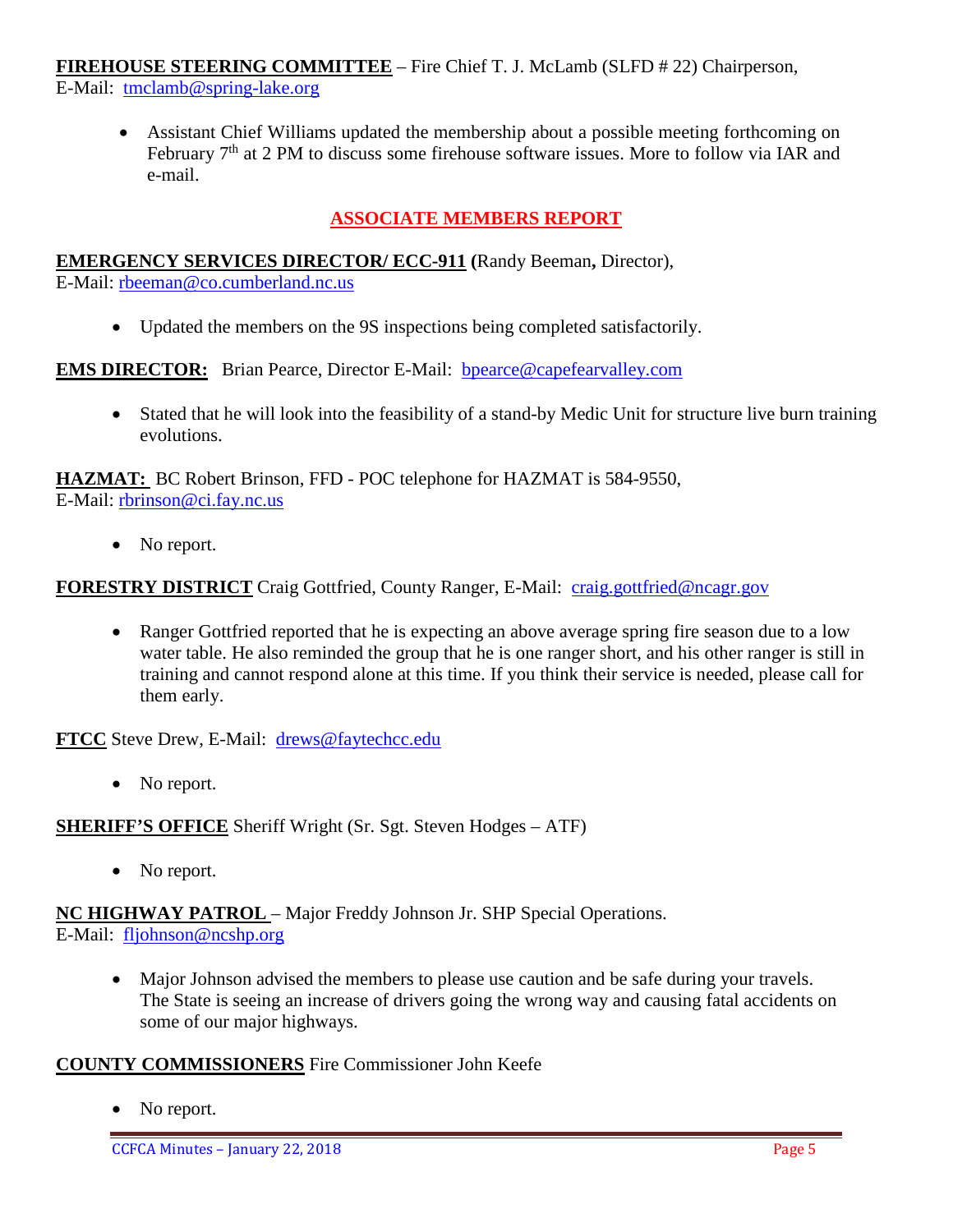## **FIREHOUSE STEERING COMMITTEE** – Fire Chief T. J. McLamb (SLFD # 22) Chairperson,

E-Mail: [tmclamb@spring-lake.org](mailto:tmclamb@spring-lake.org)

• Assistant Chief Williams updated the membership about a possible meeting forthcoming on February 7<sup>th</sup> at 2 PM to discuss some firehouse software issues. More to follow via IAR and e-mail.

# **ASSOCIATE MEMBERS REPORT**

## **EMERGENCY SERVICES DIRECTOR/ ECC-911 (**Randy Beeman**,** Director),

E-Mail: [rbeeman@co.cumberland.nc.us](mailto:rbeeman@co.cumberland.nc.us)

• Updated the members on the 9S inspections being completed satisfactorily.

**EMS DIRECTOR:** Brian Pearce, Director E-Mail: bpearce@capefearvalley.com

• Stated that he will look into the feasibility of a stand-by Medic Unit for structure live burn training evolutions.

**HAZMAT:** BC Robert Brinson, FFD - POC telephone for HAZMAT is 584-9550, E-Mail: [rbrinson@ci.fay.nc.us](mailto:rbrinson@ci.fay.nc.us)

• No report.

#### **FORESTRY DISTRICT** Craig Gottfried, County Ranger, E-Mail: [craig.gottfried@ncagr.gov](mailto:craig.gottfried@ncagr.gov)

• Ranger Gottfried reported that he is expecting an above average spring fire season due to a low water table. He also reminded the group that he is one ranger short, and his other ranger is still in training and cannot respond alone at this time. If you think their service is needed, please call for them early.

**FTCC** Steve Drew, E-Mail: [drews@faytechcc.edu](mailto:drews@faytechcc.edu)

• No report.

**SHERIFF'S OFFICE** Sheriff Wright (Sr. Sgt. Steven Hodges – ATF)

• No report.

**NC HIGHWAY PATROL** – Major Freddy Johnson Jr. SHP Special Operations. E-Mail: [fljohnson@ncshp.org](mailto:fljohnson@ncshp.org)

- - Major Johnson advised the members to please use caution and be safe during your travels. The State is seeing an increase of drivers going the wrong way and causing fatal accidents on some of our major highways.

#### **COUNTY COMMISSIONERS** Fire Commissioner John Keefe

• No report.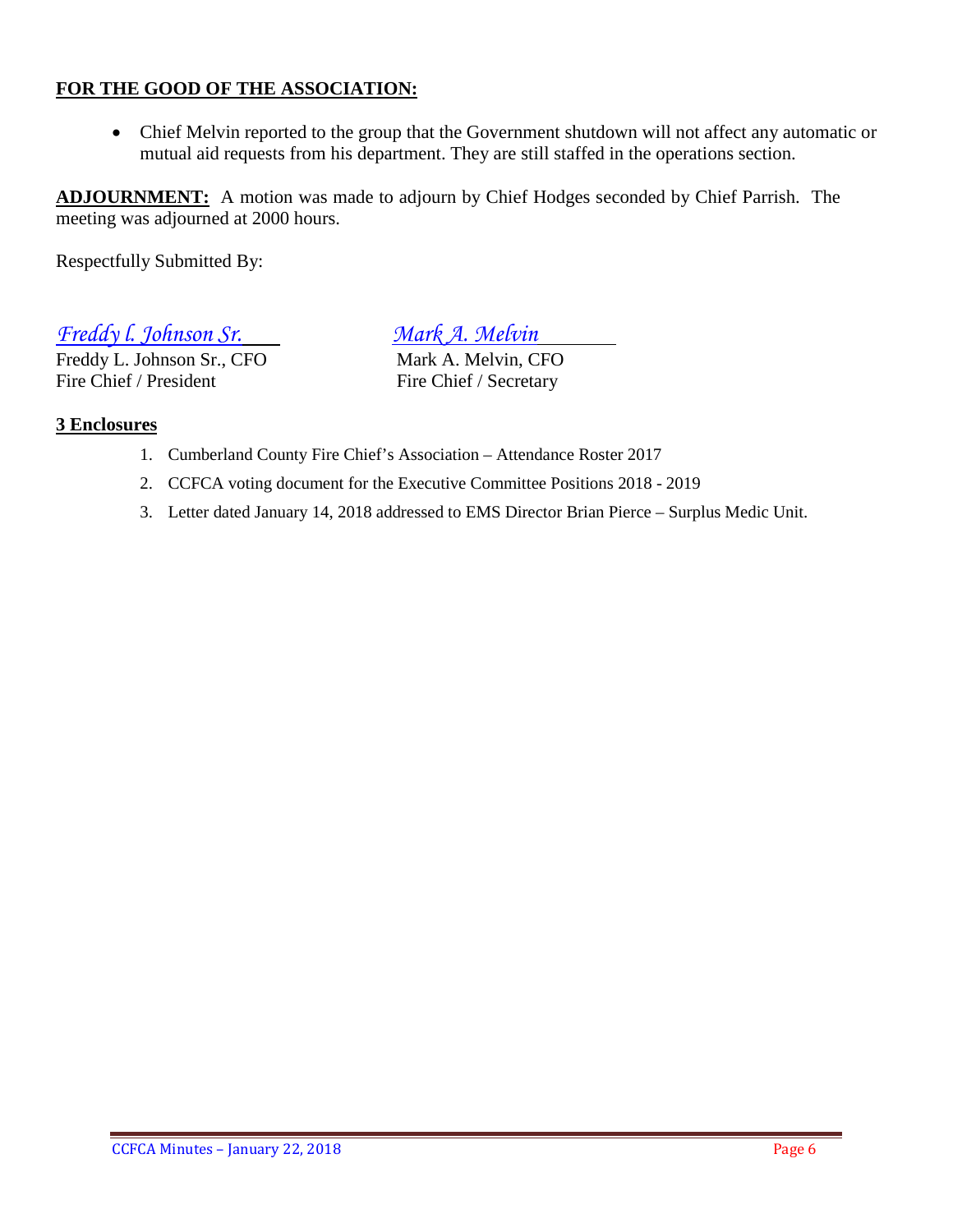## **FOR THE GOOD OF THE ASSOCIATION:**

• Chief Melvin reported to the group that the Government shutdown will not affect any automatic or mutual aid requests from his department. They are still staffed in the operations section.

**ADJOURNMENT:** A motion was made to adjourn by Chief Hodges seconded by Chief Parrish. The meeting was adjourned at 2000 hours.

Respectfully Submitted By:

*Freddy l. Johnson Sr. Mark A. Melvin*

Freddy L. Johnson Sr., CFO<br>
Fire Chief / President<br>
Fire Chief / Secretary

Fire Chief / Secretary

#### **3 Enclosures**

- 1. Cumberland County Fire Chief's Association Attendance Roster 2017
- 2. CCFCA voting document for the Executive Committee Positions 2018 2019
- 3. Letter dated January 14, 2018 addressed to EMS Director Brian Pierce Surplus Medic Unit.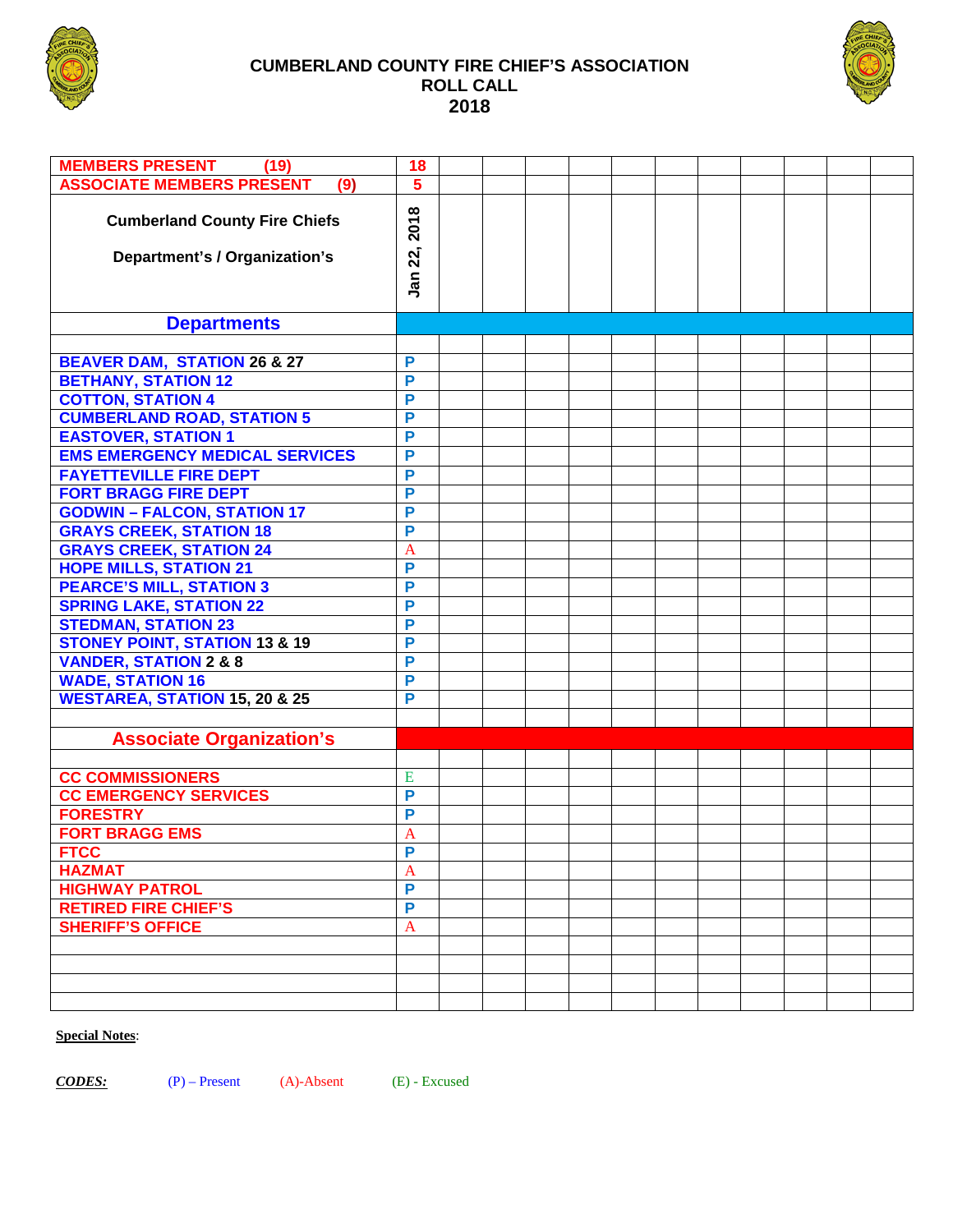

#### **CUMBERLAND COUNTY FIRE CHIEF'S ASSOCIATION ROLL CALL 2018**



| <b>MEMBERS PRESENT</b><br>(19)                                        | 18                        |  |  |  |  |  |  |
|-----------------------------------------------------------------------|---------------------------|--|--|--|--|--|--|
| <b>ASSOCIATE MEMBERS PRESENT</b><br>(9)                               | 5                         |  |  |  |  |  |  |
| <b>Cumberland County Fire Chiefs</b><br>Department's / Organization's | 2018<br>22,<br><u>ក្ន</u> |  |  |  |  |  |  |
| <b>Departments</b>                                                    |                           |  |  |  |  |  |  |
|                                                                       |                           |  |  |  |  |  |  |
| <b>BEAVER DAM, STATION 26 &amp; 27</b>                                | P                         |  |  |  |  |  |  |
| <b>BETHANY, STATION 12</b>                                            | P                         |  |  |  |  |  |  |
| <b>COTTON, STATION 4</b>                                              | P                         |  |  |  |  |  |  |
| <b>CUMBERLAND ROAD, STATION 5</b>                                     | P                         |  |  |  |  |  |  |
| <b>EASTOVER, STATION 1</b>                                            | P                         |  |  |  |  |  |  |
| <b>EMS EMERGENCY MEDICAL SERVICES</b>                                 | P                         |  |  |  |  |  |  |
| <b>FAYETTEVILLE FIRE DEPT</b>                                         | P                         |  |  |  |  |  |  |
| <b>FORT BRAGG FIRE DEPT</b>                                           | P                         |  |  |  |  |  |  |
| <b>GODWIN - FALCON, STATION 17</b>                                    | P                         |  |  |  |  |  |  |
| <b>GRAYS CREEK, STATION 18</b>                                        | P                         |  |  |  |  |  |  |
| <b>GRAYS CREEK, STATION 24</b>                                        | A                         |  |  |  |  |  |  |
| <b>HOPE MILLS, STATION 21</b>                                         | P                         |  |  |  |  |  |  |
| <b>PEARCE'S MILL, STATION 3</b>                                       | P                         |  |  |  |  |  |  |
| <b>SPRING LAKE, STATION 22</b>                                        | P                         |  |  |  |  |  |  |
| <b>STEDMAN, STATION 23</b>                                            | P                         |  |  |  |  |  |  |
| <b>STONEY POINT, STATION 13 &amp; 19</b>                              | P                         |  |  |  |  |  |  |
| <b>VANDER, STATION 2 &amp; 8</b>                                      | P                         |  |  |  |  |  |  |
| <b>WADE, STATION 16</b>                                               | P                         |  |  |  |  |  |  |
| <b>WESTAREA, STATION 15, 20 &amp; 25</b>                              | P                         |  |  |  |  |  |  |
|                                                                       |                           |  |  |  |  |  |  |
| <b>Associate Organization's</b>                                       |                           |  |  |  |  |  |  |
|                                                                       |                           |  |  |  |  |  |  |
| <b>CC COMMISSIONERS</b>                                               | E                         |  |  |  |  |  |  |
| <b>CC EMERGENCY SERVICES</b>                                          | P                         |  |  |  |  |  |  |
| <b>FORESTRY</b>                                                       | P                         |  |  |  |  |  |  |
| <b>FORT BRAGG EMS</b>                                                 | A                         |  |  |  |  |  |  |
|                                                                       | P                         |  |  |  |  |  |  |
| <b>FTCC</b><br><b>HAZMAT</b>                                          | A                         |  |  |  |  |  |  |
| <b>HIGHWAY PATROL</b>                                                 | P                         |  |  |  |  |  |  |
| <b>RETIRED FIRE CHIEF'S</b>                                           | P                         |  |  |  |  |  |  |
| <b>SHERIFF'S OFFICE</b>                                               | $\mathbf{A}$              |  |  |  |  |  |  |
|                                                                       |                           |  |  |  |  |  |  |
|                                                                       |                           |  |  |  |  |  |  |
|                                                                       |                           |  |  |  |  |  |  |
|                                                                       |                           |  |  |  |  |  |  |

#### **Special Notes**:

*CODES:* (P) – Present (A)-Absent (E) - Excused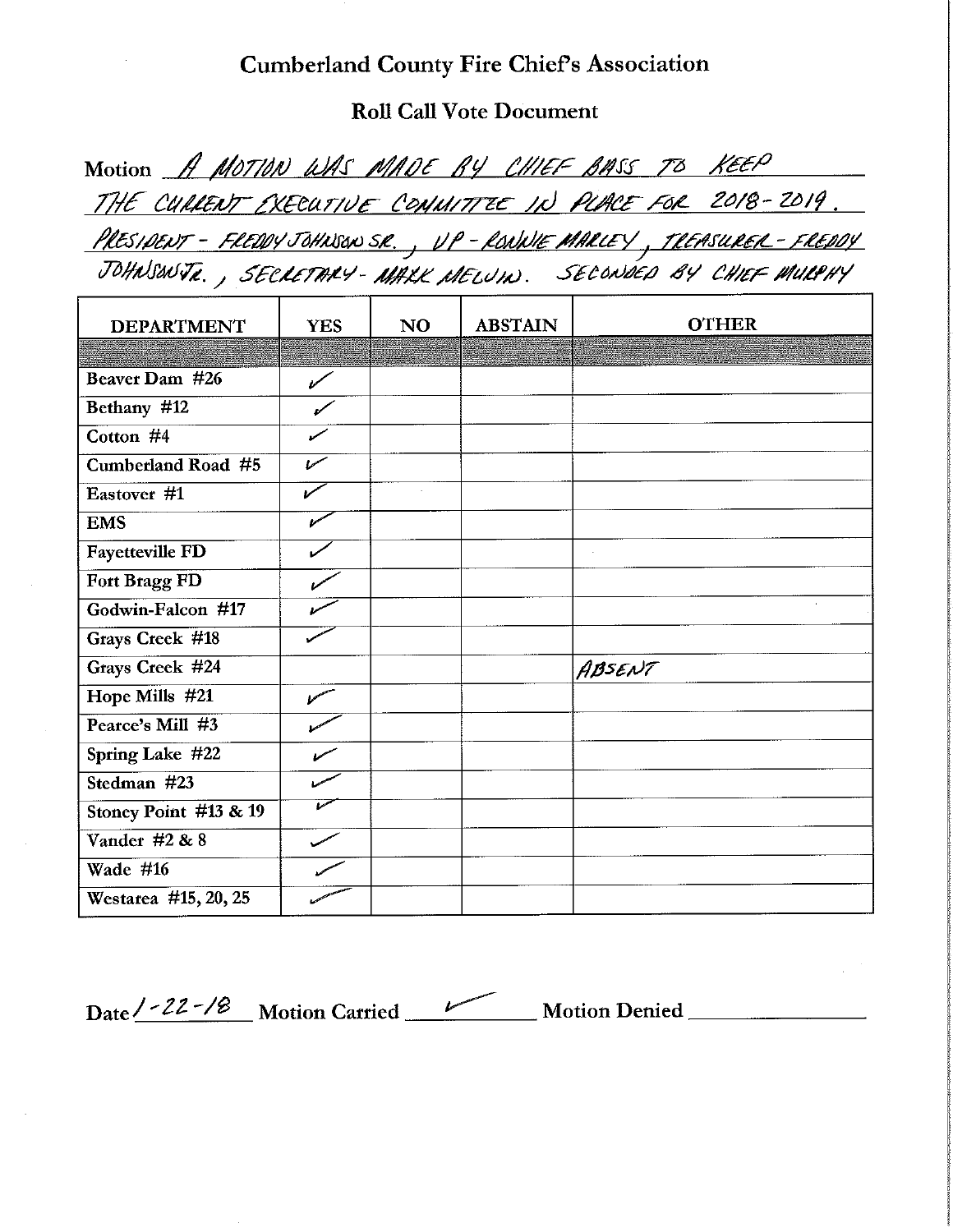# **Cumberland County Fire Chief's Association**

**Roll Call Vote Document** 

| Motion A MOTION WAS MADE BY CHIEF BASS TO KEEP                                 |  |
|--------------------------------------------------------------------------------|--|
| THE CULLENT EXECUTIVE COMMITTEE IN PLACE FOR 2018-2019.                        |  |
| <u> PRESIDENT – FREDDY JOHNSON SR., VP – RONNIE MARLEY, TREASURER – FREDDY</u> |  |
| JOHNSONTR., SECRETARY-MALK MELUIN. SECONDED BY CHIEF MULPHY                    |  |

| <b>DEPARTMENT</b>      | <b>YES</b>        | <b>NO</b> | <b>ABSTAIN</b> | <b>OTHER</b> |
|------------------------|-------------------|-----------|----------------|--------------|
|                        |                   |           |                |              |
| Beaver Dam #26         | $\mathscr{C}$     |           |                |              |
| Bethany #12            |                   |           |                |              |
| Cotton #4              |                   |           |                |              |
| Cumberland Road #5     | سمما              |           |                |              |
| Eastover #1            |                   |           |                |              |
| <b>EMS</b>             |                   |           |                |              |
| Fayetteville FD        |                   |           |                |              |
| Fort Bragg FD          |                   |           |                |              |
| Godwin-Falcon #17      |                   |           |                |              |
| <b>Grays Creek #18</b> |                   |           |                |              |
| Grays Creek #24        |                   |           |                | ABSENT       |
| Hope Mills #21         | <b>March 1999</b> |           |                |              |
| Pearce's Mill #3       |                   |           |                |              |
| Spring Lake #22        |                   |           |                |              |
| Stedman #23            |                   |           |                |              |
| Stoney Point #13 & 19  |                   |           |                |              |
| Vander #2 & 8          |                   |           |                |              |
| Wade #16               |                   |           |                |              |
| Westarea #15, 20, 25   |                   |           |                |              |

Date <u>/ - 22 - / B</u> Motion Carried Motion Denied